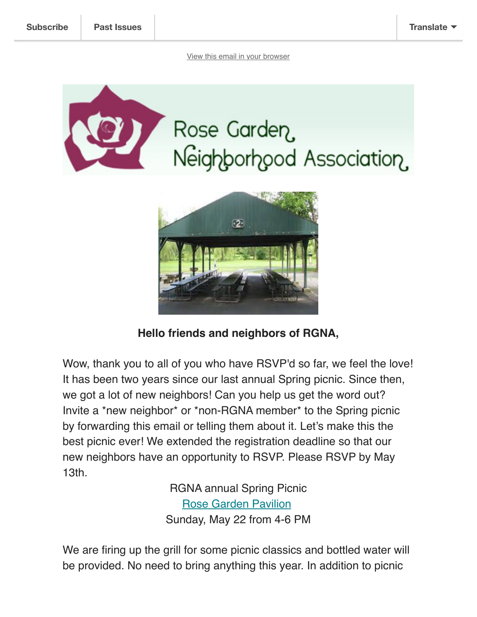



## **Hello friends and neighbors of RGNA,**

Wow, thank you to all of you who have RSVP'd so far, we feel the love! It has been two years since our last annual Spring picnic. Since then, we got a lot of new neighbors! Can you help us get the word out? Invite a \*new neighbor\* or \*non-RGNA member\* to the Spring picnic by forwarding this email or telling them about it. Let's make this the best picnic ever! We extended the registration deadline so that our new neighbors have an opportunity to RSVP. Please RSVP by May 13th.

> RGNA annual Spring Picnic [Rose Garden Pavilion](https://www.google.com/maps/place/Rose+Garden+Pavilions/@40.5898834,-75.5189279,17z/data=!4m12!1m6!3m5!1s0x89c43b2dd8d657d5:0xac9079f3ad5b24f3!2sRose+Garden+Pavilions!8m2!3d40.5898834!4d-75.5167392!3m4!1s0x89c43b2dd8d657d5:0xac9079f3ad5b24f3!8m2!3d40.5898834!4d-75.5167392) Sunday, May 22 from 4-6 PM

We are firing up the grill for some picnic classics and bottled water will be provided. No need to bring anything this year. In addition to picnic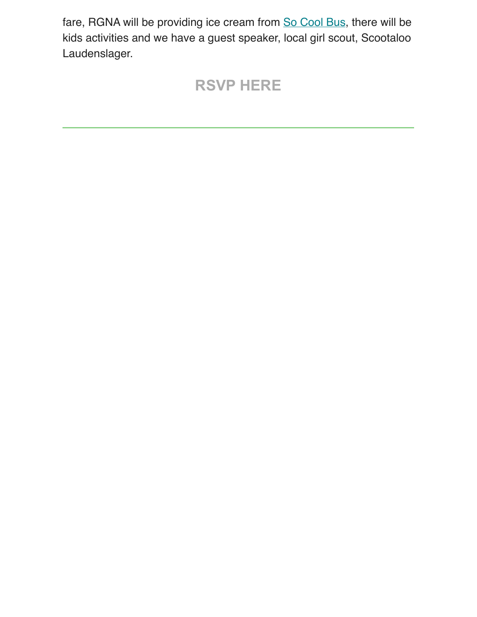fare, RGNA will be providing ice cream from [So Cool Bus,](https://socoolbus.com/) there will be kids activities and we have a guest speaker, local girl scout, Scootaloo Laudenslager.

## **[RSVP HERE](mailto:kelinnaz@yahoo.com?subject=RSVP%20for%20RGNA%20Spring%20Picnic!&body=Yes%20I)**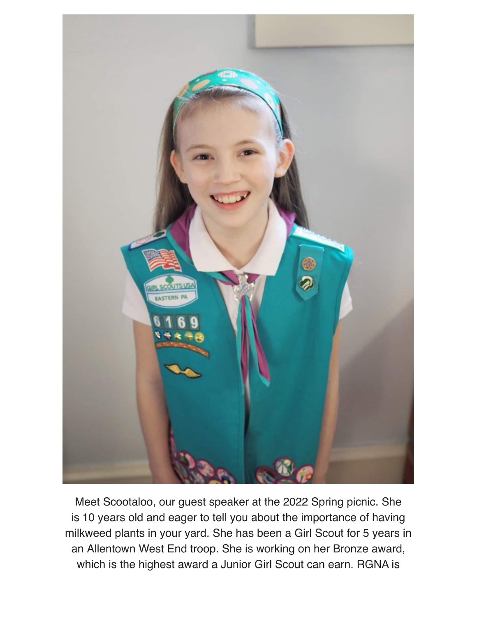

Meet Scootaloo, our guest speaker at the 2022 Spring picnic. She is 10 years old and eager to tell you about the importance of having milkweed plants in your yard. She has been a Girl Scout for 5 years in an Allentown West End troop. She is working on her Bronze award, which is the highest award a Junior Girl Scout can earn. RGNA is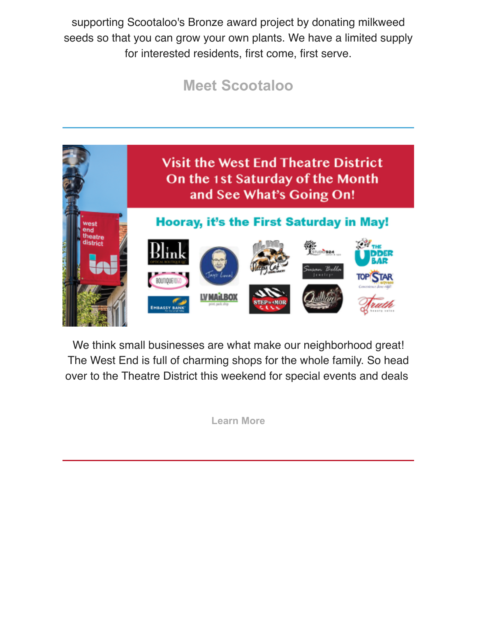supporting Scootaloo's Bronze award project by donating milkweed seeds so that you can grow your own plants. We have a limited supply for interested residents, first come, first serve.

## **[Meet Scootaloo](https://www.facebook.com/MultiplyingMonarchs/photos/?ref=page_internal)**



We think small businesses are what make our neighborhood great! The West End is full of charming shops for the whole family. So head over to the Theatre District this weekend for special events and deals

**[Learn More](https://westendallentown.com/events/hooray-its-the-1st-saturday/?fbclid=IwAR32mkAyyyuOpXxgm1XbodEJvwTV6c0iR7PrFAnl_30a9jP9QGkeOT4DyOE)**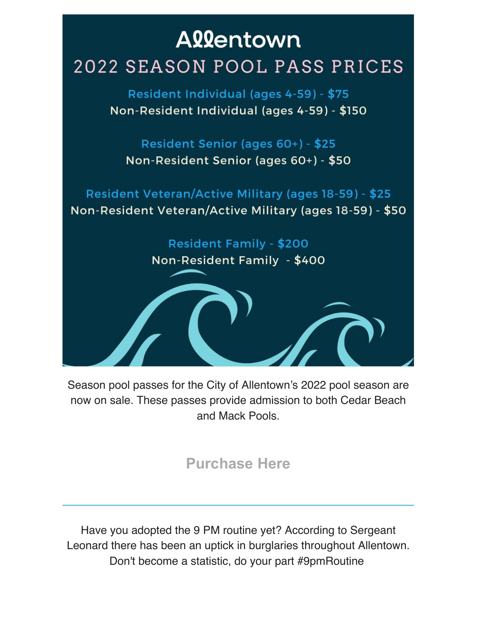

Season pool passes for the City of Allentown's 2022 pool season are now on sale. These passes provide admission to both Cedar Beach and Mack Pools.

**[Purchase Here](http://www.allentownparksandrec.com/?fbclid=IwAR2MilJg2_699TPzm0T45JUvBNRmqo7ZjMCfgnrshTCC6_NR-H_RF6javGU)**

Have you adopted the 9 PM routine yet? According to Sergeant Leonard there has been an uptick in burglaries throughout Allentown. Don't become a statistic, do your part #9pmRoutine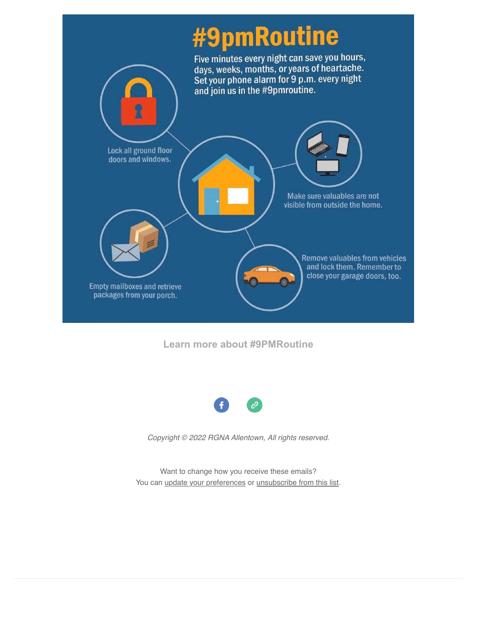## #9pmRoutine



**[Learn more about #9PMRoutine](https://www.wfmz.com/news/area/lehighvalley/allentown-police-encouraging-residents-to-adopt-9-p-m-routine-to-help-deter-crime/article_5d4edc12-b47c-11ec-b35e-0bc81607bc76.html?fbclid=IwAR2mKRpexmVZ-TLaTW7NHLJlf6PRFZwXdo81Wf769iBvPOuAFSAlwZrYfrQ#tncms-source=Homepage-Top-Stories-Block)**



*Copyright © 2022 RGNA Allentown, All rights reserved.*

Want to change how you receive these emails? You can [update your preferences](https://rosegarden-na.us14.list-manage.com/profile?u=40029c38f376186fa3013b464&id=de2198dbc6&e=783482b617) or [unsubscribe from this list.](https://rosegarden-na.us14.list-manage.com/unsubscribe?u=40029c38f376186fa3013b464&id=de2198dbc6&e=783482b617&c=3796bab386)